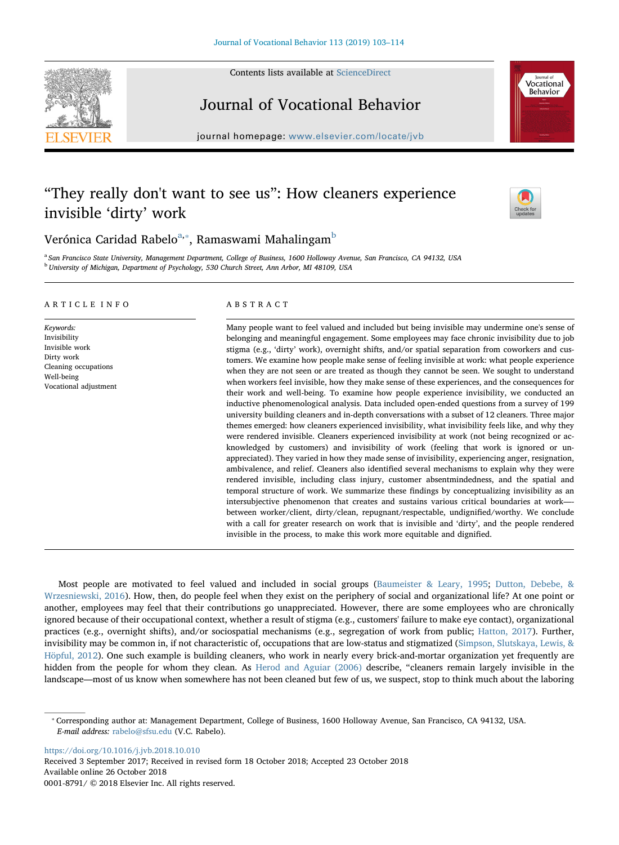Contents lists available at [ScienceDirect](http://www.sciencedirect.com/science/journal/00018791)



# Vocational **Behavior**



journal homepage: [www.elsevier.com/locate/jvb](https://www.elsevier.com/locate/jvb)

# "They really don't want to see us": How cleaners experience invisible 'dirty' work



Verónic[a](#page-0-0) Caridad Ra[b](#page-0-2)elo $^{\mathrm{a},*}$ , Ramaswami Mahalingam $^{\mathrm{b}}$ 

<span id="page-0-2"></span><span id="page-0-0"></span><sup>a</sup> San Francisco State University, Management Department, College of Business, 1600 Holloway Avenue, San Francisco, CA 94132, USA <sup>b</sup> University of Michigan, Department of Psychology, 530 Church Street, Ann Arbor, MI 48109, USA

# ARTICLE INFO

Keywords: Invisibility Invisible work Dirty work Cleaning occupations Well-being Vocational adjustment

# ABSTRACT

Many people want to feel valued and included but being invisible may undermine one's sense of belonging and meaningful engagement. Some employees may face chronic invisibility due to job stigma (e.g., 'dirty' work), overnight shifts, and/or spatial separation from coworkers and customers. We examine how people make sense of feeling invisible at work: what people experience when they are not seen or are treated as though they cannot be seen. We sought to understand when workers feel invisible, how they make sense of these experiences, and the consequences for their work and well-being. To examine how people experience invisibility, we conducted an inductive phenomenological analysis. Data included open-ended questions from a survey of 199 university building cleaners and in-depth conversations with a subset of 12 cleaners. Three major themes emerged: how cleaners experienced invisibility, what invisibility feels like, and why they were rendered invisible. Cleaners experienced invisibility at work (not being recognized or acknowledged by customers) and invisibility of work (feeling that work is ignored or unappreciated). They varied in how they made sense of invisibility, experiencing anger, resignation, ambivalence, and relief. Cleaners also identified several mechanisms to explain why they were rendered invisible, including class injury, customer absentmindedness, and the spatial and temporal structure of work. We summarize these findings by conceptualizing invisibility as an intersubjective phenomenon that creates and sustains various critical boundaries at work— between worker/client, dirty/clean, repugnant/respectable, undignified/worthy. We conclude with a call for greater research on work that is invisible and 'dirty', and the people rendered invisible in the process, to make this work more equitable and dignified.

Most people are motivated to feel valued and included in social groups ([Baumeister & Leary, 1995](#page-10-0); [Dutton, Debebe, &](#page-10-1) [Wrzesniewski, 2016\)](#page-10-1). How, then, do people feel when they exist on the periphery of social and organizational life? At one point or another, employees may feel that their contributions go unappreciated. However, there are some employees who are chronically ignored because of their occupational context, whether a result of stigma (e.g., customers' failure to make eye contact), organizational practices (e.g., overnight shifts), and/or sociospatial mechanisms (e.g., segregation of work from public; [Hatton, 2017](#page-11-0)). Further, invisibility may be common in, if not characteristic of, occupations that are low-status and stigmatized [\(Simpson, Slutskaya, Lewis, &](#page-11-1) [Höpful, 2012](#page-11-1)). One such example is building cleaners, who work in nearly every brick-and-mortar organization yet frequently are hidden from the people for whom they clean. As [Herod and Aguiar \(2006\)](#page-11-2) describe, "cleaners remain largely invisible in the landscape—most of us know when somewhere has not been cleaned but few of us, we suspect, stop to think much about the laboring

<https://doi.org/10.1016/j.jvb.2018.10.010>

Received 3 September 2017; Received in revised form 18 October 2018; Accepted 23 October 2018 Available online 26 October 2018 0001-8791/ © 2018 Elsevier Inc. All rights reserved.

<span id="page-0-1"></span><sup>⁎</sup> Corresponding author at: Management Department, College of Business, 1600 Holloway Avenue, San Francisco, CA 94132, USA. E-mail address: [rabelo@sfsu.edu](mailto:rabelo@sfsu.edu) (V.C. Rabelo).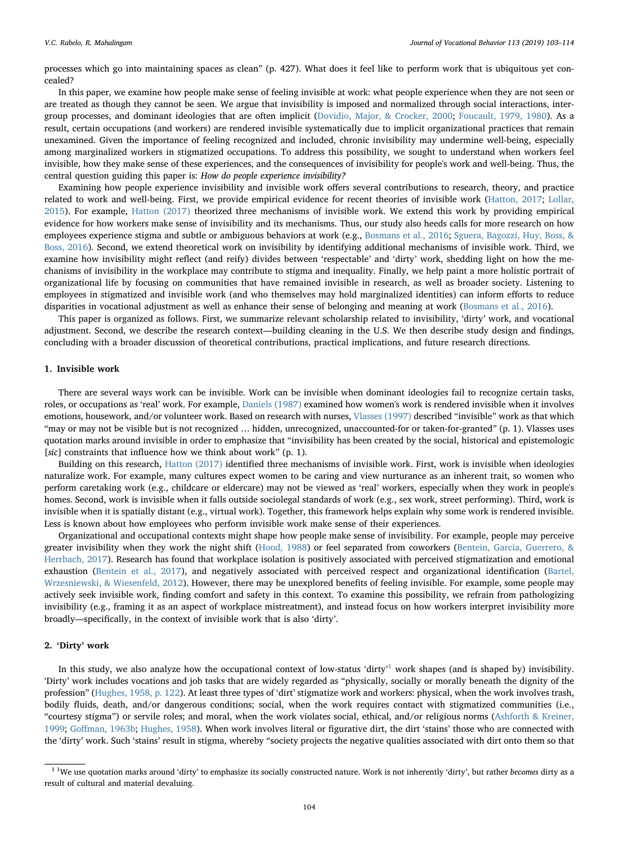processes which go into maintaining spaces as clean" (p. 427). What does it feel like to perform work that is ubiquitous yet concealed?

In this paper, we examine how people make sense of feeling invisible at work: what people experience when they are not seen or are treated as though they cannot be seen. We argue that invisibility is imposed and normalized through social interactions, intergroup processes, and dominant ideologies that are often implicit [\(Dovidio, Major, & Crocker, 2000](#page-10-2); [Foucault, 1979, 1980](#page-10-3)). As a result, certain occupations (and workers) are rendered invisible systematically due to implicit organizational practices that remain unexamined. Given the importance of feeling recognized and included, chronic invisibility may undermine well-being, especially among marginalized workers in stigmatized occupations. To address this possibility, we sought to understand when workers feel invisible, how they make sense of these experiences, and the consequences of invisibility for people's work and well-being. Thus, the central question guiding this paper is: How do people experience invisibility?

Examining how people experience invisibility and invisible work offers several contributions to research, theory, and practice related to work and well-being. First, we provide empirical evidence for recent theories of invisible work [\(Hatton, 2017](#page-11-0); [Lollar,](#page-11-3) [2015\)](#page-11-3). For example, [Hatton \(2017\)](#page-11-0) theorized three mechanisms of invisible work. We extend this work by providing empirical evidence for how workers make sense of invisibility and its mechanisms. Thus, our study also heeds calls for more research on how employees experience stigma and subtle or ambiguous behaviors at work (e.g., [Bosmans et al., 2016;](#page-10-4) [Sguera, Bagozzi, Huy, Boss, &](#page-11-4) [Boss, 2016](#page-11-4)). Second, we extend theoretical work on invisibility by identifying additional mechanisms of invisible work. Third, we examine how invisibility might reflect (and reify) divides between 'respectable' and 'dirty' work, shedding light on how the mechanisms of invisibility in the workplace may contribute to stigma and inequality. Finally, we help paint a more holistic portrait of organizational life by focusing on communities that have remained invisible in research, as well as broader society. Listening to employees in stigmatized and invisible work (and who themselves may hold marginalized identities) can inform efforts to reduce disparities in vocational adjustment as well as enhance their sense of belonging and meaning at work ([Bosmans et al., 2016\)](#page-10-4).

This paper is organized as follows. First, we summarize relevant scholarship related to invisibility, 'dirty' work, and vocational adjustment. Second, we describe the research context—building cleaning in the U.S. We then describe study design and findings, concluding with a broader discussion of theoretical contributions, practical implications, and future research directions.

# 1. Invisible work

There are several ways work can be invisible. Work can be invisible when dominant ideologies fail to recognize certain tasks, roles, or occupations as 'real' work. For example, [Daniels \(1987\)](#page-10-5) examined how women's work is rendered invisible when it involves emotions, housework, and/or volunteer work. Based on research with nurses, [Vlasses \(1997\)](#page-11-5) described "invisible" work as that which "may or may not be visible but is not recognized … hidden, unrecognized, unaccounted-for or taken-for-granted" (p. 1). Vlasses uses quotation marks around invisible in order to emphasize that "invisibility has been created by the social, historical and epistemologic [sic] constraints that influence how we think about work" (p. 1).

Building on this research, [Hatton \(2017\)](#page-11-0) identified three mechanisms of invisible work. First, work is invisible when ideologies naturalize work. For example, many cultures expect women to be caring and view nurturance as an inherent trait, so women who perform caretaking work (e.g., childcare or eldercare) may not be viewed as 'real' workers, especially when they work in people's homes. Second, work is invisible when it falls outside sociolegal standards of work (e.g., sex work, street performing). Third, work is invisible when it is spatially distant (e.g., virtual work). Together, this framework helps explain why some work is rendered invisible. Less is known about how employees who perform invisible work make sense of their experiences.

Organizational and occupational contexts might shape how people make sense of invisibility. For example, people may perceive greater invisibility when they work the night shift ([Hood, 1988](#page-11-6)) or feel separated from coworkers [\(Bentein, Garcia, Guerrero, &](#page-10-6) [Herrbach, 2017\)](#page-10-6). Research has found that workplace isolation is positively associated with perceived stigmatization and emotional exhaustion ([Bentein et al., 2017\)](#page-10-6), and negatively associated with perceived respect and organizational identification ([Bartel,](#page-10-7) [Wrzesniewski, & Wiesenfeld, 2012](#page-10-7)). However, there may be unexplored benefits of feeling invisible. For example, some people may actively seek invisible work, finding comfort and safety in this context. To examine this possibility, we refrain from pathologizing invisibility (e.g., framing it as an aspect of workplace mistreatment), and instead focus on how workers interpret invisibility more broadly—specifically, in the context of invisible work that is also 'dirty'.

# 2. 'Dirty' work

In this study, we also analyze how the occupational context of low-status 'dirty' [1](#page-1-0) work shapes (and is shaped by) invisibility. 'Dirty' work includes vocations and job tasks that are widely regarded as "physically, socially or morally beneath the dignity of the profession" ([Hughes, 1958, p. 122](#page-11-7)). At least three types of 'dirt' stigmatize work and workers: physical, when the work involves trash, bodily fluids, death, and/or dangerous conditions; social, when the work requires contact with stigmatized communities (i.e., "courtesy stigma") or servile roles; and moral, when the work violates social, ethical, and/or religious norms [\(Ashforth & Kreiner,](#page-10-8) [1999;](#page-10-8) Goff[man, 1963b](#page-11-8); [Hughes, 1958\)](#page-11-7). When work involves literal or figurative dirt, the dirt 'stains' those who are connected with the 'dirty' work. Such 'stains' result in stigma, whereby "society projects the negative qualities associated with dirt onto them so that

<span id="page-1-0"></span> $1$  lWe use quotation marks around 'dirty' to emphasize its socially constructed nature. Work is not inherently 'dirty', but rather becomes dirty as a result of cultural and material devaluing.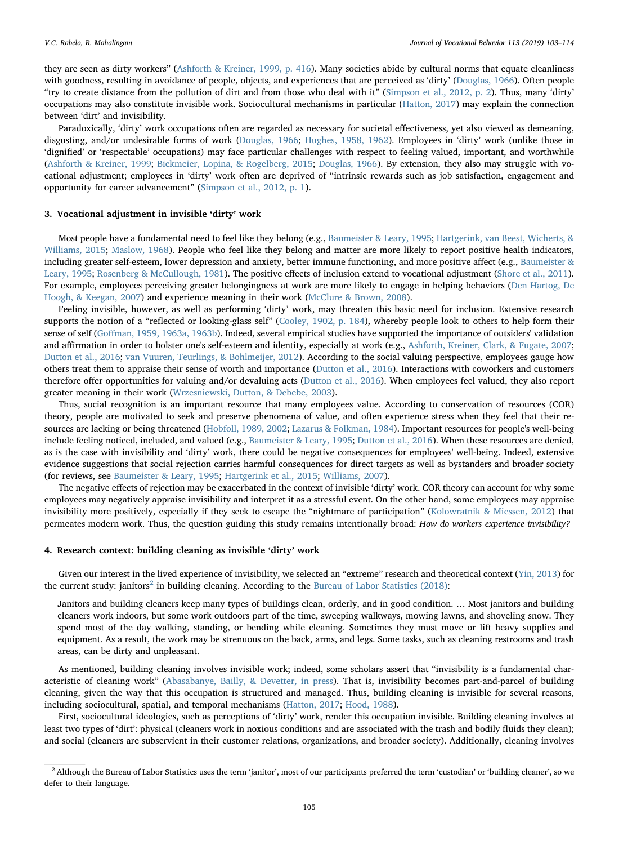they are seen as dirty workers" ([Ashforth & Kreiner, 1999, p. 416\)](#page-10-8). Many societies abide by cultural norms that equate cleanliness with goodness, resulting in avoidance of people, objects, and experiences that are perceived as 'dirty' ([Douglas, 1966](#page-10-9)). Often people "try to create distance from the pollution of dirt and from those who deal with it" ([Simpson et al., 2012, p. 2](#page-11-1)). Thus, many 'dirty' occupations may also constitute invisible work. Sociocultural mechanisms in particular [\(Hatton, 2017](#page-11-0)) may explain the connection between 'dirt' and invisibility.

Paradoxically, 'dirty' work occupations often are regarded as necessary for societal effectiveness, yet also viewed as demeaning, disgusting, and/or undesirable forms of work ([Douglas, 1966;](#page-10-9) [Hughes, 1958, 1962\)](#page-11-7). Employees in 'dirty' work (unlike those in 'dignified' or 'respectable' occupations) may face particular challenges with respect to feeling valued, important, and worthwhile ([Ashforth & Kreiner, 1999](#page-10-8); [Bickmeier, Lopina, & Rogelberg, 2015](#page-10-10); [Douglas, 1966\)](#page-10-9). By extension, they also may struggle with vocational adjustment; employees in 'dirty' work often are deprived of "intrinsic rewards such as job satisfaction, engagement and opportunity for career advancement" ([Simpson et al., 2012, p. 1\)](#page-11-1).

# 3. Vocational adjustment in invisible 'dirty' work

Most people have a fundamental need to feel like they belong (e.g., [Baumeister & Leary, 1995;](#page-10-0) [Hartgerink, van Beest, Wicherts, &](#page-11-9) [Williams, 2015](#page-11-9); [Maslow, 1968\)](#page-11-10). People who feel like they belong and matter are more likely to report positive health indicators, including greater self-esteem, lower depression and anxiety, better immune functioning, and more positive affect (e.g., [Baumeister &](#page-10-0) [Leary, 1995;](#page-10-0) [Rosenberg & McCullough, 1981](#page-11-11)). The positive effects of inclusion extend to vocational adjustment ([Shore et al., 2011](#page-11-12)). For example, employees perceiving greater belongingness at work are more likely to engage in helping behaviors ([Den Hartog, De](#page-10-11) [Hoogh, & Keegan, 2007\)](#page-10-11) and experience meaning in their work ([McClure & Brown, 2008\)](#page-11-13).

Feeling invisible, however, as well as performing 'dirty' work, may threaten this basic need for inclusion. Extensive research supports the notion of a "reflected or looking-glass self" ([Cooley, 1902, p. 184\)](#page-10-12), whereby people look to others to help form their sense of self (Goff[man, 1959, 1963a, 1963b\)](#page-11-14). Indeed, several empirical studies have supported the importance of outsiders' validation and affirmation in order to bolster one's self-esteem and identity, especially at work (e.g., [Ashforth, Kreiner, Clark, & Fugate, 2007;](#page-10-13) [Dutton et al., 2016;](#page-10-1) [van Vuuren, Teurlings, & Bohlmeijer, 2012\)](#page-11-15). According to the social valuing perspective, employees gauge how others treat them to appraise their sense of worth and importance [\(Dutton et al., 2016](#page-10-1)). Interactions with coworkers and customers therefore offer opportunities for valuing and/or devaluing acts [\(Dutton et al., 2016\)](#page-10-1). When employees feel valued, they also report greater meaning in their work [\(Wrzesniewski, Dutton, & Debebe, 2003\)](#page-11-16).

Thus, social recognition is an important resource that many employees value. According to conservation of resources (COR) theory, people are motivated to seek and preserve phenomena of value, and often experience stress when they feel that their resources are lacking or being threatened ([Hobfoll, 1989, 2002;](#page-11-17) [Lazarus & Folkman, 1984](#page-11-18)). Important resources for people's well-being include feeling noticed, included, and valued (e.g., [Baumeister & Leary, 1995](#page-10-0); [Dutton et al., 2016\)](#page-10-1). When these resources are denied, as is the case with invisibility and 'dirty' work, there could be negative consequences for employees' well-being. Indeed, extensive evidence suggestions that social rejection carries harmful consequences for direct targets as well as bystanders and broader society (for reviews, see [Baumeister & Leary, 1995;](#page-10-0) [Hartgerink et al., 2015](#page-11-9); [Williams, 2007](#page-11-19)).

The negative effects of rejection may be exacerbated in the context of invisible 'dirty' work. COR theory can account for why some employees may negatively appraise invisibility and interpret it as a stressful event. On the other hand, some employees may appraise invisibility more positively, especially if they seek to escape the "nightmare of participation" [\(Kolowratnik & Miessen, 2012](#page-11-20)) that permeates modern work. Thus, the question guiding this study remains intentionally broad: How do workers experience invisibility?

# 4. Research context: building cleaning as invisible 'dirty' work

Given our interest in the lived experience of invisibility, we selected an "extreme" research and theoretical context [\(Yin, 2013](#page-11-21)) for the current study: janitors<sup>[2](#page-2-0)</sup> in building cleaning. According to the [Bureau of Labor Statistics \(2018\):](#page-10-14)

Janitors and building cleaners keep many types of buildings clean, orderly, and in good condition. … Most janitors and building cleaners work indoors, but some work outdoors part of the time, sweeping walkways, mowing lawns, and shoveling snow. They spend most of the day walking, standing, or bending while cleaning. Sometimes they must move or lift heavy supplies and equipment. As a result, the work may be strenuous on the back, arms, and legs. Some tasks, such as cleaning restrooms and trash areas, can be dirty and unpleasant.

As mentioned, building cleaning involves invisible work; indeed, some scholars assert that "invisibility is a fundamental characteristic of cleaning work" [\(Abasabanye, Bailly, & Devetter, in press](#page-10-15)). That is, invisibility becomes part-and-parcel of building cleaning, given the way that this occupation is structured and managed. Thus, building cleaning is invisible for several reasons, including sociocultural, spatial, and temporal mechanisms ([Hatton, 2017](#page-11-0); [Hood, 1988\)](#page-11-6).

First, sociocultural ideologies, such as perceptions of 'dirty' work, render this occupation invisible. Building cleaning involves at least two types of 'dirt': physical (cleaners work in noxious conditions and are associated with the trash and bodily fluids they clean); and social (cleaners are subservient in their customer relations, organizations, and broader society). Additionally, cleaning involves

<span id="page-2-0"></span> $<sup>2</sup>$  Although the Bureau of Labor Statistics uses the term 'janitor', most of our participants preferred the term 'custodian' or 'building cleaner', so we</sup> defer to their language.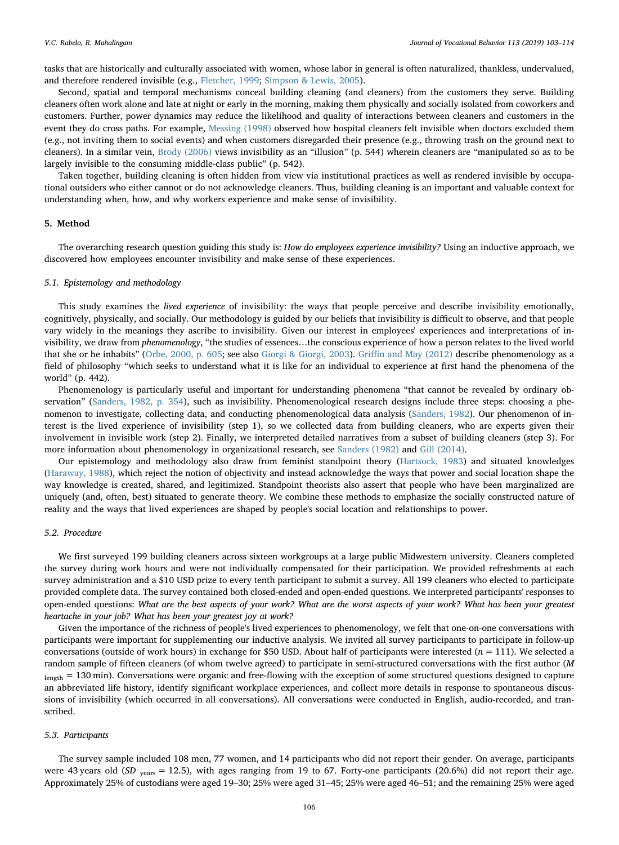tasks that are historically and culturally associated with women, whose labor in general is often naturalized, thankless, undervalued, and therefore rendered invisible (e.g., [Fletcher, 1999](#page-10-16); [Simpson & Lewis, 2005](#page-11-22)).

Second, spatial and temporal mechanisms conceal building cleaning (and cleaners) from the customers they serve. Building cleaners often work alone and late at night or early in the morning, making them physically and socially isolated from coworkers and customers. Further, power dynamics may reduce the likelihood and quality of interactions between cleaners and customers in the event they do cross paths. For example, [Messing \(1998\)](#page-11-23) observed how hospital cleaners felt invisible when doctors excluded them (e.g., not inviting them to social events) and when customers disregarded their presence (e.g., throwing trash on the ground next to cleaners). In a similar vein, [Brody \(2006\)](#page-10-17) views invisibility as an "illusion" (p. 544) wherein cleaners are "manipulated so as to be largely invisible to the consuming middle-class public" (p. 542).

Taken together, building cleaning is often hidden from view via institutional practices as well as rendered invisible by occupational outsiders who either cannot or do not acknowledge cleaners. Thus, building cleaning is an important and valuable context for understanding when, how, and why workers experience and make sense of invisibility.

# 5. Method

The overarching research question guiding this study is: How do employees experience invisibility? Using an inductive approach, we discovered how employees encounter invisibility and make sense of these experiences.

#### 5.1. Epistemology and methodology

This study examines the lived experience of invisibility: the ways that people perceive and describe invisibility emotionally, cognitively, physically, and socially. Our methodology is guided by our beliefs that invisibility is difficult to observe, and that people vary widely in the meanings they ascribe to invisibility. Given our interest in employees' experiences and interpretations of invisibility, we draw from phenomenology, "the studies of essences…the conscious experience of how a person relates to the lived world that she or he inhabits" [\(Orbe, 2000, p. 605](#page-11-24); see also [Giorgi & Giorgi, 2003\)](#page-11-25). Griffi[n and May \(2012\)](#page-11-26) describe phenomenology as a field of philosophy "which seeks to understand what it is like for an individual to experience at first hand the phenomena of the world" (p. 442).

Phenomenology is particularly useful and important for understanding phenomena "that cannot be revealed by ordinary observation" [\(Sanders, 1982, p. 354](#page-11-27)), such as invisibility. Phenomenological research designs include three steps: choosing a phenomenon to investigate, collecting data, and conducting phenomenological data analysis ([Sanders, 1982](#page-11-27)). Our phenomenon of interest is the lived experience of invisibility (step 1), so we collected data from building cleaners, who are experts given their involvement in invisible work (step 2). Finally, we interpreted detailed narratives from a subset of building cleaners (step 3). For more information about phenomenology in organizational research, see [Sanders \(1982\)](#page-11-27) and [Gill \(2014\).](#page-11-28)

Our epistemology and methodology also draw from feminist standpoint theory [\(Hartsock, 1983\)](#page-11-29) and situated knowledges ([Haraway, 1988](#page-11-30)), which reject the notion of objectivity and instead acknowledge the ways that power and social location shape the way knowledge is created, shared, and legitimized. Standpoint theorists also assert that people who have been marginalized are uniquely (and, often, best) situated to generate theory. We combine these methods to emphasize the socially constructed nature of reality and the ways that lived experiences are shaped by people's social location and relationships to power.

#### 5.2. Procedure

We first surveyed 199 building cleaners across sixteen workgroups at a large public Midwestern university. Cleaners completed the survey during work hours and were not individually compensated for their participation. We provided refreshments at each survey administration and a \$10 USD prize to every tenth participant to submit a survey. All 199 cleaners who elected to participate provided complete data. The survey contained both closed-ended and open-ended questions. We interpreted participants' responses to open-ended questions: What are the best aspects of your work? What are the worst aspects of your work? What has been your greatest heartache in your job? What has been your greatest joy at work?

Given the importance of the richness of people's lived experiences to phenomenology, we felt that one-on-one conversations with participants were important for supplementing our inductive analysis. We invited all survey participants to participate in follow-up conversations (outside of work hours) in exchange for \$50 USD. About half of participants were interested  $(n = 111)$ . We selected a random sample of fifteen cleaners (of whom twelve agreed) to participate in semi-structured conversations with the first author (M length = 130 min). Conversations were organic and free-flowing with the exception of some structured questions designed to capture an abbreviated life history, identify significant workplace experiences, and collect more details in response to spontaneous discussions of invisibility (which occurred in all conversations). All conversations were conducted in English, audio-recorded, and transcribed.

#### 5.3. Participants

The survey sample included 108 men, 77 women, and 14 participants who did not report their gender. On average, participants were 43 years old (SD <sub>years</sub> = 12.5), with ages ranging from 19 to 67. Forty-one participants (20.6%) did not report their age. Approximately 25% of custodians were aged 19–30; 25% were aged 31–45; 25% were aged 46–51; and the remaining 25% were aged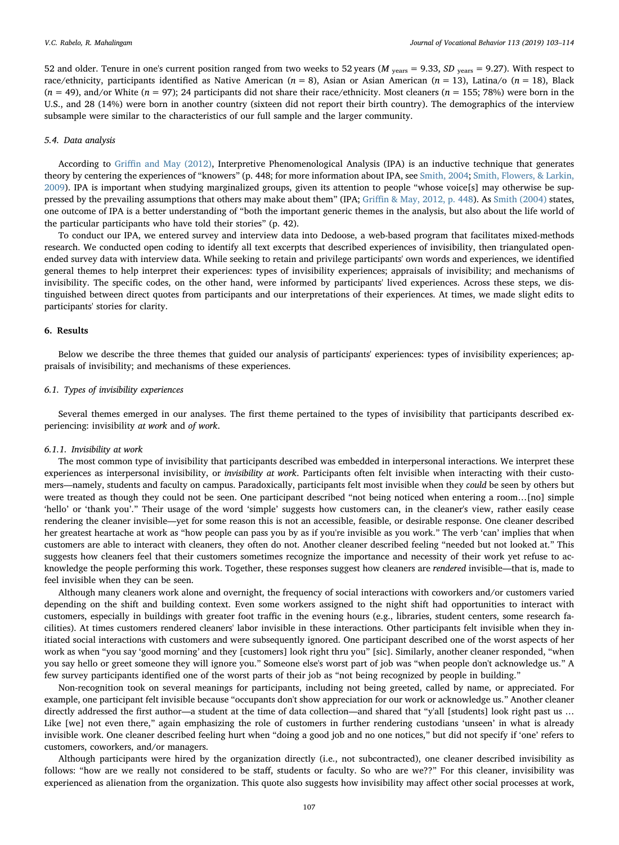52 and older. Tenure in one's current position ranged from two weeks to 52 years ( $M_{years}$  = 9.33,  $SD_{years}$  = 9.27). With respect to race/ethnicity, participants identified as Native American ( $n = 8$ ), Asian or Asian American ( $n = 13$ ), Latina/o ( $n = 18$ ), Black  $(n = 49)$ , and/or White  $(n = 97)$ ; 24 participants did not share their race/ethnicity. Most cleaners  $(n = 155; 78%)$  were born in the U.S., and 28 (14%) were born in another country (sixteen did not report their birth country). The demographics of the interview subsample were similar to the characteristics of our full sample and the larger community.

#### 5.4. Data analysis

According to Griffi[n and May \(2012\)](#page-11-26), Interpretive Phenomenological Analysis (IPA) is an inductive technique that generates theory by centering the experiences of "knowers" (p. 448; for more information about IPA, see [Smith, 2004](#page-11-31); [Smith, Flowers, & Larkin,](#page-11-32) [2009\)](#page-11-32). IPA is important when studying marginalized groups, given its attention to people "whose voice[s] may otherwise be suppressed by the prevailing assumptions that others may make about them" (IPA; Griffi[n & May, 2012, p. 448](#page-11-26)). As [Smith \(2004\)](#page-11-31) states, one outcome of IPA is a better understanding of "both the important generic themes in the analysis, but also about the life world of the particular participants who have told their stories" (p. 42).

To conduct our IPA, we entered survey and interview data into Dedoose, a web-based program that facilitates mixed-methods research. We conducted open coding to identify all text excerpts that described experiences of invisibility, then triangulated openended survey data with interview data. While seeking to retain and privilege participants' own words and experiences, we identified general themes to help interpret their experiences: types of invisibility experiences; appraisals of invisibility; and mechanisms of invisibility. The specific codes, on the other hand, were informed by participants' lived experiences. Across these steps, we distinguished between direct quotes from participants and our interpretations of their experiences. At times, we made slight edits to participants' stories for clarity.

# 6. Results

Below we describe the three themes that guided our analysis of participants' experiences: types of invisibility experiences; appraisals of invisibility; and mechanisms of these experiences.

#### 6.1. Types of invisibility experiences

Several themes emerged in our analyses. The first theme pertained to the types of invisibility that participants described experiencing: invisibility at work and of work.

#### 6.1.1. Invisibility at work

The most common type of invisibility that participants described was embedded in interpersonal interactions. We interpret these experiences as interpersonal invisibility, or *invisibility at work*. Participants often felt invisible when interacting with their customers—namely, students and faculty on campus. Paradoxically, participants felt most invisible when they could be seen by others but were treated as though they could not be seen. One participant described "not being noticed when entering a room…[no] simple 'hello' or 'thank you'." Their usage of the word 'simple' suggests how customers can, in the cleaner's view, rather easily cease rendering the cleaner invisible—yet for some reason this is not an accessible, feasible, or desirable response. One cleaner described her greatest heartache at work as "how people can pass you by as if you're invisible as you work." The verb 'can' implies that when customers are able to interact with cleaners, they often do not. Another cleaner described feeling "needed but not looked at." This suggests how cleaners feel that their customers sometimes recognize the importance and necessity of their work yet refuse to acknowledge the people performing this work. Together, these responses suggest how cleaners are rendered invisible—that is, made to feel invisible when they can be seen.

Although many cleaners work alone and overnight, the frequency of social interactions with coworkers and/or customers varied depending on the shift and building context. Even some workers assigned to the night shift had opportunities to interact with customers, especially in buildings with greater foot traffic in the evening hours (e.g., libraries, student centers, some research facilities). At times customers rendered cleaners' labor invisible in these interactions. Other participants felt invisible when they initiated social interactions with customers and were subsequently ignored. One participant described one of the worst aspects of her work as when "you say 'good morning' and they [customers] look right thru you" [sic]. Similarly, another cleaner responded, "when you say hello or greet someone they will ignore you." Someone else's worst part of job was "when people don't acknowledge us." A few survey participants identified one of the worst parts of their job as "not being recognized by people in building."

Non-recognition took on several meanings for participants, including not being greeted, called by name, or appreciated. For example, one participant felt invisible because "occupants don't show appreciation for our work or acknowledge us." Another cleaner directly addressed the first author—a student at the time of data collection—and shared that "y'all [students] look right past us … Like [we] not even there," again emphasizing the role of customers in further rendering custodians 'unseen' in what is already invisible work. One cleaner described feeling hurt when "doing a good job and no one notices," but did not specify if 'one' refers to customers, coworkers, and/or managers.

Although participants were hired by the organization directly (i.e., not subcontracted), one cleaner described invisibility as follows: "how are we really not considered to be staff, students or faculty. So who are we??" For this cleaner, invisibility was experienced as alienation from the organization. This quote also suggests how invisibility may affect other social processes at work,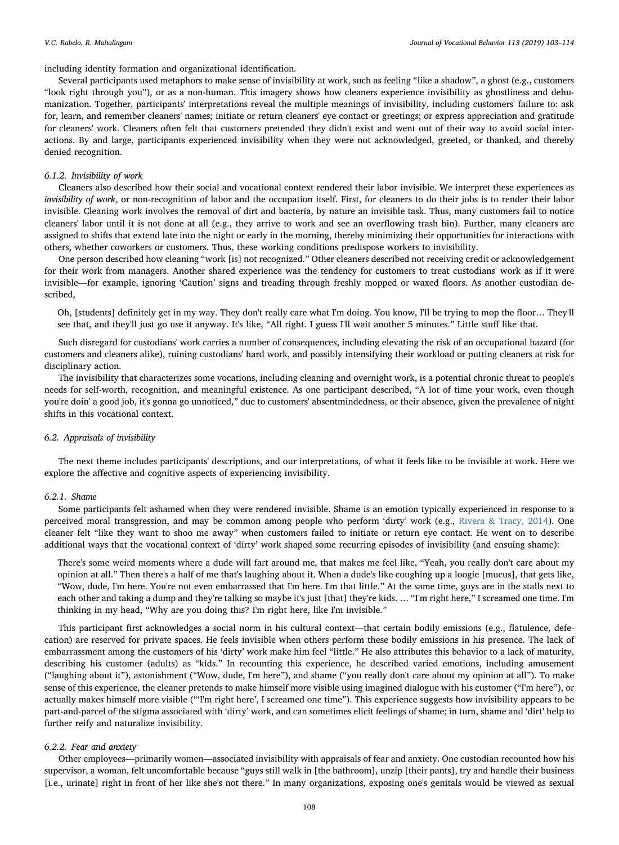# including identity formation and organizational identification.

Several participants used metaphors to make sense of invisibility at work, such as feeling "like a shadow", a ghost (e.g., customers "look right through you"), or as a non-human. This imagery shows how cleaners experience invisibility as ghostliness and dehumanization. Together, participants' interpretations reveal the multiple meanings of invisibility, including customers' failure to: ask for, learn, and remember cleaners' names; initiate or return cleaners' eye contact or greetings; or express appreciation and gratitude for cleaners' work. Cleaners often felt that customers pretended they didn't exist and went out of their way to avoid social interactions. By and large, participants experienced invisibility when they were not acknowledged, greeted, or thanked, and thereby denied recognition.

#### 6.1.2. Invisibility of work

Cleaners also described how their social and vocational context rendered their labor invisible. We interpret these experiences as invisibility of work, or non-recognition of labor and the occupation itself. First, for cleaners to do their jobs is to render their labor invisible. Cleaning work involves the removal of dirt and bacteria, by nature an invisible task. Thus, many customers fail to notice cleaners' labor until it is not done at all (e.g., they arrive to work and see an overflowing trash bin). Further, many cleaners are assigned to shifts that extend late into the night or early in the morning, thereby minimizing their opportunities for interactions with others, whether coworkers or customers. Thus, these working conditions predispose workers to invisibility.

One person described how cleaning "work [is] not recognized." Other cleaners described not receiving credit or acknowledgement for their work from managers. Another shared experience was the tendency for customers to treat custodians' work as if it were invisible—for example, ignoring 'Caution' signs and treading through freshly mopped or waxed floors. As another custodian described,

Oh, [students] definitely get in my way. They don't really care what I'm doing. You know, I'll be trying to mop the floor… They'll see that, and they'll just go use it anyway. It's like, "All right. I guess I'll wait another 5 minutes." Little stuff like that.

Such disregard for custodians' work carries a number of consequences, including elevating the risk of an occupational hazard (for customers and cleaners alike), ruining custodians' hard work, and possibly intensifying their workload or putting cleaners at risk for disciplinary action.

The invisibility that characterizes some vocations, including cleaning and overnight work, is a potential chronic threat to people's needs for self-worth, recognition, and meaningful existence. As one participant described, "A lot of time your work, even though you're doin' a good job, it's gonna go unnoticed," due to customers' absentmindedness, or their absence, given the prevalence of night shifts in this vocational context.

#### 6.2. Appraisals of invisibility

The next theme includes participants' descriptions, and our interpretations, of what it feels like to be invisible at work. Here we explore the affective and cognitive aspects of experiencing invisibility.

#### 6.2.1. Shame

Some participants felt ashamed when they were rendered invisible. Shame is an emotion typically experienced in response to a perceived moral transgression, and may be common among people who perform 'dirty' work (e.g., [Rivera & Tracy, 2014](#page-11-33)). One cleaner felt "like they want to shoo me away" when customers failed to initiate or return eye contact. He went on to describe additional ways that the vocational context of 'dirty' work shaped some recurring episodes of invisibility (and ensuing shame):

There's some weird moments where a dude will fart around me, that makes me feel like, "Yeah, you really don't care about my opinion at all." Then there's a half of me that's laughing about it. When a dude's like coughing up a loogie [mucus], that gets like, "Wow, dude, I'm here. You're not even embarrassed that I'm here. I'm that little." At the same time, guys are in the stalls next to each other and taking a dump and they're talking so maybe it's just [that] they're kids. ... "I'm right here," I screamed one time. I'm thinking in my head, "Why are you doing this? I'm right here, like I'm invisible."

This participant first acknowledges a social norm in his cultural context—that certain bodily emissions (e.g., flatulence, defecation) are reserved for private spaces. He feels invisible when others perform these bodily emissions in his presence. The lack of embarrassment among the customers of his 'dirty' work make him feel "little." He also attributes this behavior to a lack of maturity, describing his customer (adults) as "kids." In recounting this experience, he described varied emotions, including amusement ("laughing about it"), astonishment ("Wow, dude, I'm here"), and shame ("you really don't care about my opinion at all"). To make sense of this experience, the cleaner pretends to make himself more visible using imagined dialogue with his customer ("I'm here"), or actually makes himself more visible ("'I'm right here', I screamed one time"). This experience suggests how invisibility appears to be part-and-parcel of the stigma associated with 'dirty' work, and can sometimes elicit feelings of shame; in turn, shame and 'dirt' help to further reify and naturalize invisibility.

#### 6.2.2. Fear and anxiety

Other employees—primarily women—associated invisibility with appraisals of fear and anxiety. One custodian recounted how his supervisor, a woman, felt uncomfortable because "guys still walk in [the bathroom], unzip [their pants], try and handle their business [i.e., urinate] right in front of her like she's not there." In many organizations, exposing one's genitals would be viewed as sexual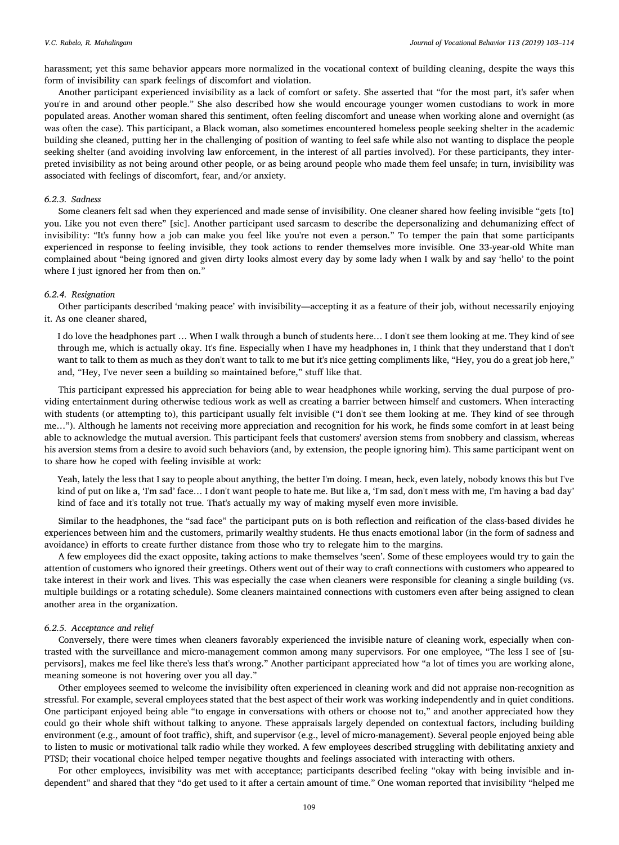harassment; yet this same behavior appears more normalized in the vocational context of building cleaning, despite the ways this form of invisibility can spark feelings of discomfort and violation.

Another participant experienced invisibility as a lack of comfort or safety. She asserted that "for the most part, it's safer when you're in and around other people." She also described how she would encourage younger women custodians to work in more populated areas. Another woman shared this sentiment, often feeling discomfort and unease when working alone and overnight (as was often the case). This participant, a Black woman, also sometimes encountered homeless people seeking shelter in the academic building she cleaned, putting her in the challenging of position of wanting to feel safe while also not wanting to displace the people seeking shelter (and avoiding involving law enforcement, in the interest of all parties involved). For these participants, they interpreted invisibility as not being around other people, or as being around people who made them feel unsafe; in turn, invisibility was associated with feelings of discomfort, fear, and/or anxiety.

# 6.2.3. Sadness

Some cleaners felt sad when they experienced and made sense of invisibility. One cleaner shared how feeling invisible "gets [to] you. Like you not even there" [sic]. Another participant used sarcasm to describe the depersonalizing and dehumanizing effect of invisibility: "It's funny how a job can make you feel like you're not even a person." To temper the pain that some participants experienced in response to feeling invisible, they took actions to render themselves more invisible. One 33-year-old White man complained about "being ignored and given dirty looks almost every day by some lady when I walk by and say 'hello' to the point where I just ignored her from then on."

#### 6.2.4. Resignation

Other participants described 'making peace' with invisibility—accepting it as a feature of their job, without necessarily enjoying it. As one cleaner shared,

I do love the headphones part … When I walk through a bunch of students here… I don't see them looking at me. They kind of see through me, which is actually okay. It's fine. Especially when I have my headphones in, I think that they understand that I don't want to talk to them as much as they don't want to talk to me but it's nice getting compliments like, "Hey, you do a great job here," and, "Hey, I've never seen a building so maintained before," stuff like that.

This participant expressed his appreciation for being able to wear headphones while working, serving the dual purpose of providing entertainment during otherwise tedious work as well as creating a barrier between himself and customers. When interacting with students (or attempting to), this participant usually felt invisible ("I don't see them looking at me. They kind of see through me…"). Although he laments not receiving more appreciation and recognition for his work, he finds some comfort in at least being able to acknowledge the mutual aversion. This participant feels that customers' aversion stems from snobbery and classism, whereas his aversion stems from a desire to avoid such behaviors (and, by extension, the people ignoring him). This same participant went on to share how he coped with feeling invisible at work:

Yeah, lately the less that I say to people about anything, the better I'm doing. I mean, heck, even lately, nobody knows this but I've kind of put on like a, 'I'm sad' face... I don't want people to hate me. But like a, 'I'm sad, don't mess with me, I'm having a bad day' kind of face and it's totally not true. That's actually my way of making myself even more invisible.

Similar to the headphones, the "sad face" the participant puts on is both reflection and reification of the class-based divides he experiences between him and the customers, primarily wealthy students. He thus enacts emotional labor (in the form of sadness and avoidance) in efforts to create further distance from those who try to relegate him to the margins.

A few employees did the exact opposite, taking actions to make themselves 'seen'. Some of these employees would try to gain the attention of customers who ignored their greetings. Others went out of their way to craft connections with customers who appeared to take interest in their work and lives. This was especially the case when cleaners were responsible for cleaning a single building (vs. multiple buildings or a rotating schedule). Some cleaners maintained connections with customers even after being assigned to clean another area in the organization.

#### 6.2.5. Acceptance and relief

Conversely, there were times when cleaners favorably experienced the invisible nature of cleaning work, especially when contrasted with the surveillance and micro-management common among many supervisors. For one employee, "The less I see of [supervisors], makes me feel like there's less that's wrong." Another participant appreciated how "a lot of times you are working alone, meaning someone is not hovering over you all day."

Other employees seemed to welcome the invisibility often experienced in cleaning work and did not appraise non-recognition as stressful. For example, several employees stated that the best aspect of their work was working independently and in quiet conditions. One participant enjoyed being able "to engage in conversations with others or choose not to," and another appreciated how they could go their whole shift without talking to anyone. These appraisals largely depended on contextual factors, including building environment (e.g., amount of foot traffic), shift, and supervisor (e.g., level of micro-management). Several people enjoyed being able to listen to music or motivational talk radio while they worked. A few employees described struggling with debilitating anxiety and PTSD; their vocational choice helped temper negative thoughts and feelings associated with interacting with others.

For other employees, invisibility was met with acceptance; participants described feeling "okay with being invisible and independent" and shared that they "do get used to it after a certain amount of time." One woman reported that invisibility "helped me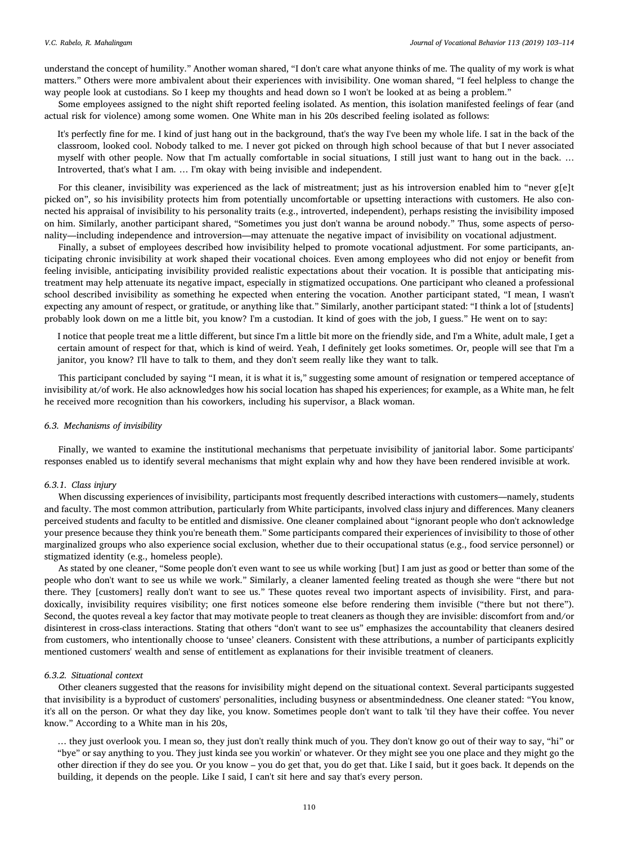understand the concept of humility." Another woman shared, "I don't care what anyone thinks of me. The quality of my work is what matters." Others were more ambivalent about their experiences with invisibility. One woman shared, "I feel helpless to change the way people look at custodians. So I keep my thoughts and head down so I won't be looked at as being a problem."

Some employees assigned to the night shift reported feeling isolated. As mention, this isolation manifested feelings of fear (and actual risk for violence) among some women. One White man in his 20s described feeling isolated as follows:

It's perfectly fine for me. I kind of just hang out in the background, that's the way I've been my whole life. I sat in the back of the classroom, looked cool. Nobody talked to me. I never got picked on through high school because of that but I never associated myself with other people. Now that I'm actually comfortable in social situations, I still just want to hang out in the back. … Introverted, that's what I am. … I'm okay with being invisible and independent.

For this cleaner, invisibility was experienced as the lack of mistreatment; just as his introversion enabled him to "never g[e]t picked on", so his invisibility protects him from potentially uncomfortable or upsetting interactions with customers. He also connected his appraisal of invisibility to his personality traits (e.g., introverted, independent), perhaps resisting the invisibility imposed on him. Similarly, another participant shared, "Sometimes you just don't wanna be around nobody." Thus, some aspects of personality—including independence and introversion—may attenuate the negative impact of invisibility on vocational adjustment.

Finally, a subset of employees described how invisibility helped to promote vocational adjustment. For some participants, anticipating chronic invisibility at work shaped their vocational choices. Even among employees who did not enjoy or benefit from feeling invisible, anticipating invisibility provided realistic expectations about their vocation. It is possible that anticipating mistreatment may help attenuate its negative impact, especially in stigmatized occupations. One participant who cleaned a professional school described invisibility as something he expected when entering the vocation. Another participant stated, "I mean, I wasn't expecting any amount of respect, or gratitude, or anything like that." Similarly, another participant stated: "I think a lot of [students] probably look down on me a little bit, you know? I'm a custodian. It kind of goes with the job, I guess." He went on to say:

I notice that people treat me a little different, but since I'm a little bit more on the friendly side, and I'm a White, adult male, I get a certain amount of respect for that, which is kind of weird. Yeah, I definitely get looks sometimes. Or, people will see that I'm a janitor, you know? I'll have to talk to them, and they don't seem really like they want to talk.

This participant concluded by saying "I mean, it is what it is," suggesting some amount of resignation or tempered acceptance of invisibility at/of work. He also acknowledges how his social location has shaped his experiences; for example, as a White man, he felt he received more recognition than his coworkers, including his supervisor, a Black woman.

# 6.3. Mechanisms of invisibility

Finally, we wanted to examine the institutional mechanisms that perpetuate invisibility of janitorial labor. Some participants' responses enabled us to identify several mechanisms that might explain why and how they have been rendered invisible at work.

# 6.3.1. Class injury

When discussing experiences of invisibility, participants most frequently described interactions with customers—namely, students and faculty. The most common attribution, particularly from White participants, involved class injury and differences. Many cleaners perceived students and faculty to be entitled and dismissive. One cleaner complained about "ignorant people who don't acknowledge your presence because they think you're beneath them." Some participants compared their experiences of invisibility to those of other marginalized groups who also experience social exclusion, whether due to their occupational status (e.g., food service personnel) or stigmatized identity (e.g., homeless people).

As stated by one cleaner, "Some people don't even want to see us while working [but] I am just as good or better than some of the people who don't want to see us while we work." Similarly, a cleaner lamented feeling treated as though she were "there but not there. They [customers] really don't want to see us." These quotes reveal two important aspects of invisibility. First, and paradoxically, invisibility requires visibility; one first notices someone else before rendering them invisible ("there but not there"). Second, the quotes reveal a key factor that may motivate people to treat cleaners as though they are invisible: discomfort from and/or disinterest in cross-class interactions. Stating that others "don't want to see us" emphasizes the accountability that cleaners desired from customers, who intentionally choose to 'unsee' cleaners. Consistent with these attributions, a number of participants explicitly mentioned customers' wealth and sense of entitlement as explanations for their invisible treatment of cleaners.

# 6.3.2. Situational context

Other cleaners suggested that the reasons for invisibility might depend on the situational context. Several participants suggested that invisibility is a byproduct of customers' personalities, including busyness or absentmindedness. One cleaner stated: "You know, it's all on the person. Or what they day like, you know. Sometimes people don't want to talk 'til they have their coffee. You never know." According to a White man in his 20s,

… they just overlook you. I mean so, they just don't really think much of you. They don't know go out of their way to say, "hi" or "bye" or say anything to you. They just kinda see you workin' or whatever. Or they might see you one place and they might go the other direction if they do see you. Or you know – you do get that, you do get that. Like I said, but it goes back. It depends on the building, it depends on the people. Like I said, I can't sit here and say that's every person.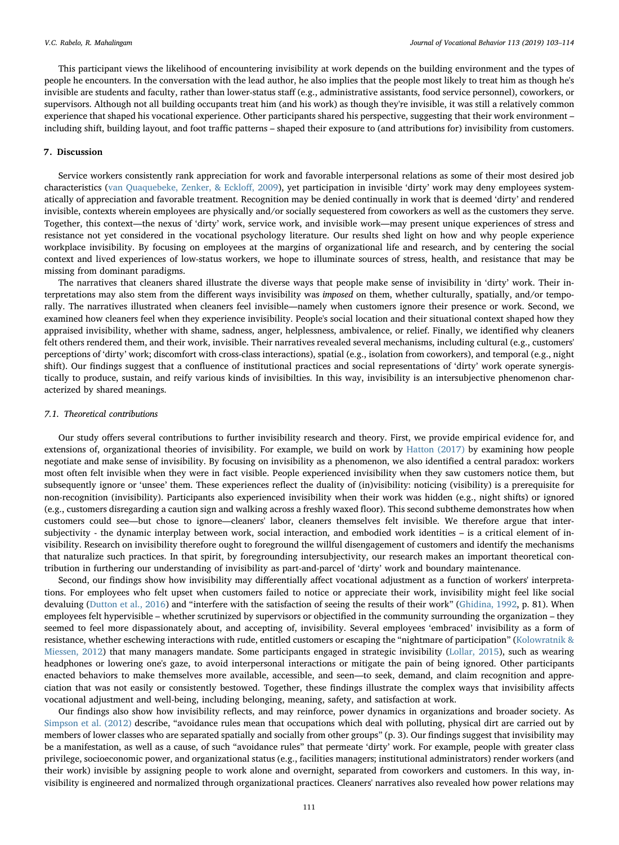This participant views the likelihood of encountering invisibility at work depends on the building environment and the types of people he encounters. In the conversation with the lead author, he also implies that the people most likely to treat him as though he's invisible are students and faculty, rather than lower-status staff (e.g., administrative assistants, food service personnel), coworkers, or supervisors. Although not all building occupants treat him (and his work) as though they're invisible, it was still a relatively common experience that shaped his vocational experience. Other participants shared his perspective, suggesting that their work environment – including shift, building layout, and foot traffic patterns – shaped their exposure to (and attributions for) invisibility from customers.

#### 7. Discussion

Service workers consistently rank appreciation for work and favorable interpersonal relations as some of their most desired job characteristics [\(van Quaquebeke, Zenker, & Ecklo](#page-11-34)ff, 2009), yet participation in invisible 'dirty' work may deny employees systematically of appreciation and favorable treatment. Recognition may be denied continually in work that is deemed 'dirty' and rendered invisible, contexts wherein employees are physically and/or socially sequestered from coworkers as well as the customers they serve. Together, this context—the nexus of 'dirty' work, service work, and invisible work—may present unique experiences of stress and resistance not yet considered in the vocational psychology literature. Our results shed light on how and why people experience workplace invisibility. By focusing on employees at the margins of organizational life and research, and by centering the social context and lived experiences of low-status workers, we hope to illuminate sources of stress, health, and resistance that may be missing from dominant paradigms.

The narratives that cleaners shared illustrate the diverse ways that people make sense of invisibility in 'dirty' work. Their interpretations may also stem from the different ways invisibility was imposed on them, whether culturally, spatially, and/or temporally. The narratives illustrated when cleaners feel invisible—namely when customers ignore their presence or work. Second, we examined how cleaners feel when they experience invisibility. People's social location and their situational context shaped how they appraised invisibility, whether with shame, sadness, anger, helplessness, ambivalence, or relief. Finally, we identified why cleaners felt others rendered them, and their work, invisible. Their narratives revealed several mechanisms, including cultural (e.g., customers' perceptions of 'dirty' work; discomfort with cross-class interactions), spatial (e.g., isolation from coworkers), and temporal (e.g., night shift). Our findings suggest that a confluence of institutional practices and social representations of 'dirty' work operate synergistically to produce, sustain, and reify various kinds of invisibilties. In this way, invisibility is an intersubjective phenomenon characterized by shared meanings.

#### 7.1. Theoretical contributions

Our study offers several contributions to further invisibility research and theory. First, we provide empirical evidence for, and extensions of, organizational theories of invisibility. For example, we build on work by [Hatton \(2017\)](#page-11-0) by examining how people negotiate and make sense of invisibility. By focusing on invisibility as a phenomenon, we also identified a central paradox: workers most often felt invisible when they were in fact visible. People experienced invisibility when they saw customers notice them, but subsequently ignore or 'unsee' them. These experiences reflect the duality of (in)visibility: noticing (visibility) is a prerequisite for non-recognition (invisibility). Participants also experienced invisibility when their work was hidden (e.g., night shifts) or ignored (e.g., customers disregarding a caution sign and walking across a freshly waxed floor). This second subtheme demonstrates how when customers could see—but chose to ignore—cleaners' labor, cleaners themselves felt invisible. We therefore argue that intersubjectivity - the dynamic interplay between work, social interaction, and embodied work identities – is a critical element of invisibility. Research on invisibility therefore ought to foreground the willful disengagement of customers and identify the mechanisms that naturalize such practices. In that spirit, by foregrounding intersubjectivity, our research makes an important theoretical contribution in furthering our understanding of invisibility as part-and-parcel of 'dirty' work and boundary maintenance.

Second, our findings show how invisibility may differentially affect vocational adjustment as a function of workers' interpretations. For employees who felt upset when customers failed to notice or appreciate their work, invisibility might feel like social devaluing ([Dutton et al., 2016\)](#page-10-1) and "interfere with the satisfaction of seeing the results of their work" [\(Ghidina, 1992,](#page-11-35) p. 81). When employees felt hypervisible – whether scrutinized by supervisors or objectified in the community surrounding the organization – they seemed to feel more dispassionately about, and accepting of, invisibility. Several employees 'embraced' invisibility as a form of resistance, whether eschewing interactions with rude, entitled customers or escaping the "nightmare of participation" [\(Kolowratnik &](#page-11-20) [Miessen, 2012](#page-11-20)) that many managers mandate. Some participants engaged in strategic invisibility [\(Lollar, 2015](#page-11-3)), such as wearing headphones or lowering one's gaze, to avoid interpersonal interactions or mitigate the pain of being ignored. Other participants enacted behaviors to make themselves more available, accessible, and seen—to seek, demand, and claim recognition and appreciation that was not easily or consistently bestowed. Together, these findings illustrate the complex ways that invisibility affects vocational adjustment and well-being, including belonging, meaning, safety, and satisfaction at work.

Our findings also show how invisibility reflects, and may reinforce, power dynamics in organizations and broader society. As [Simpson et al. \(2012\)](#page-11-1) describe, "avoidance rules mean that occupations which deal with polluting, physical dirt are carried out by members of lower classes who are separated spatially and socially from other groups" (p. 3). Our findings suggest that invisibility may be a manifestation, as well as a cause, of such "avoidance rules" that permeate 'dirty' work. For example, people with greater class privilege, socioeconomic power, and organizational status (e.g., facilities managers; institutional administrators) render workers (and their work) invisible by assigning people to work alone and overnight, separated from coworkers and customers. In this way, invisibility is engineered and normalized through organizational practices. Cleaners' narratives also revealed how power relations may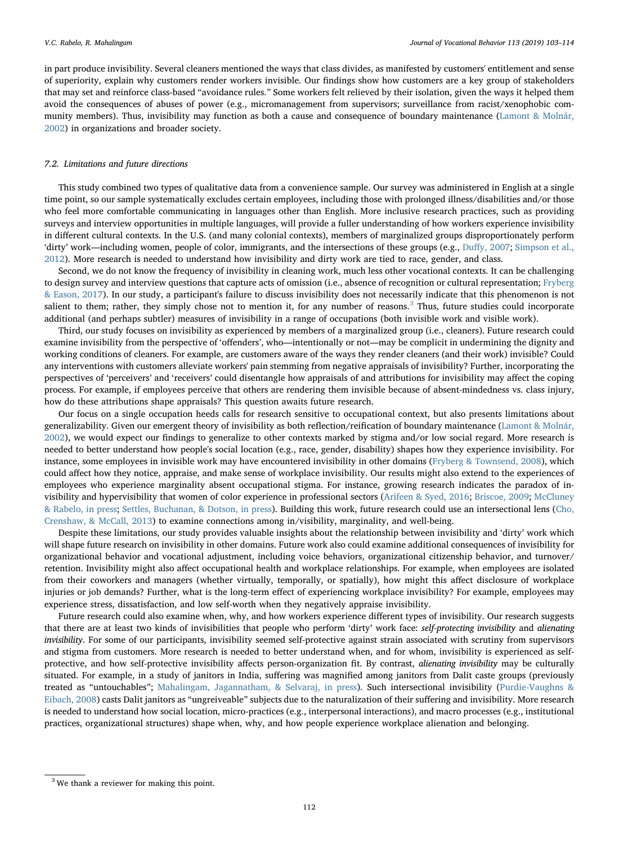in part produce invisibility. Several cleaners mentioned the ways that class divides, as manifested by customers' entitlement and sense of superiority, explain why customers render workers invisible. Our findings show how customers are a key group of stakeholders that may set and reinforce class-based "avoidance rules." Some workers felt relieved by their isolation, given the ways it helped them avoid the consequences of abuses of power (e.g., micromanagement from supervisors; surveillance from racist/xenophobic community members). Thus, invisibility may function as both a cause and consequence of boundary maintenance ([Lamont & Molnár,](#page-11-36) [2002\)](#page-11-36) in organizations and broader society.

#### 7.2. Limitations and future directions

This study combined two types of qualitative data from a convenience sample. Our survey was administered in English at a single time point, so our sample systematically excludes certain employees, including those with prolonged illness/disabilities and/or those who feel more comfortable communicating in languages other than English. More inclusive research practices, such as providing surveys and interview opportunities in multiple languages, will provide a fuller understanding of how workers experience invisibility in different cultural contexts. In the U.S. (and many colonial contexts), members of marginalized groups disproportionately perform 'dirty' work—including women, people of color, immigrants, and the intersections of these groups (e.g., Duff[y, 2007;](#page-10-18) [Simpson et al.,](#page-11-1) [2012\)](#page-11-1). More research is needed to understand how invisibility and dirty work are tied to race, gender, and class.

Second, we do not know the frequency of invisibility in cleaning work, much less other vocational contexts. It can be challenging to design survey and interview questions that capture acts of omission (i.e., absence of recognition or cultural representation; [Fryberg](#page-10-19) [& Eason, 2017](#page-10-19)). In our study, a participant's failure to discuss invisibility does not necessarily indicate that this phenomenon is not salient to them; rather, they simply chose not to mention it, for any number of reasons.<sup>[3](#page-9-0)</sup> Thus, future studies could incorporate additional (and perhaps subtler) measures of invisibility in a range of occupations (both invisible work and visible work).

Third, our study focuses on invisibility as experienced by members of a marginalized group (i.e., cleaners). Future research could examine invisibility from the perspective of 'offenders', who—intentionally or not—may be complicit in undermining the dignity and working conditions of cleaners. For example, are customers aware of the ways they render cleaners (and their work) invisible? Could any interventions with customers alleviate workers' pain stemming from negative appraisals of invisibility? Further, incorporating the perspectives of 'perceivers' and 'receivers' could disentangle how appraisals of and attributions for invisibility may affect the coping process. For example, if employees perceive that others are rendering them invisible because of absent-mindedness vs. class injury, how do these attributions shape appraisals? This question awaits future research.

Our focus on a single occupation heeds calls for research sensitive to occupational context, but also presents limitations about generalizability. Given our emergent theory of invisibility as both reflection/reification of boundary maintenance [\(Lamont & Molnár,](#page-11-36) [2002\)](#page-11-36), we would expect our findings to generalize to other contexts marked by stigma and/or low social regard. More research is needed to better understand how people's social location (e.g., race, gender, disability) shapes how they experience invisibility. For instance, some employees in invisible work may have encountered invisibility in other domains ([Fryberg & Townsend, 2008](#page-10-20)), which could affect how they notice, appraise, and make sense of workplace invisibility. Our results might also extend to the experiences of employees who experience marginality absent occupational stigma. For instance, growing research indicates the paradox of invisibility and hypervisibility that women of color experience in professional sectors ([Arifeen & Syed, 2016](#page-10-21); [Briscoe, 2009;](#page-10-22) [McCluney](#page-11-37) [& Rabelo, in press](#page-11-37); [Settles, Buchanan, & Dotson, in press](#page-11-38)). Building this work, future research could use an intersectional lens [\(Cho,](#page-10-23) [Crenshaw, & McCall, 2013\)](#page-10-23) to examine connections among in/visibility, marginality, and well-being.

Despite these limitations, our study provides valuable insights about the relationship between invisibility and 'dirty' work which will shape future research on invisibility in other domains. Future work also could examine additional consequences of invisibility for organizational behavior and vocational adjustment, including voice behaviors, organizational citizenship behavior, and turnover/ retention. Invisibility might also affect occupational health and workplace relationships. For example, when employees are isolated from their coworkers and managers (whether virtually, temporally, or spatially), how might this affect disclosure of workplace injuries or job demands? Further, what is the long-term effect of experiencing workplace invisibility? For example, employees may experience stress, dissatisfaction, and low self-worth when they negatively appraise invisibility.

Future research could also examine when, why, and how workers experience different types of invisibility. Our research suggests that there are at least two kinds of invisibilities that people who perform 'dirty' work face: self-protecting invisibility and alienating invisibility. For some of our participants, invisibility seemed self-protective against strain associated with scrutiny from supervisors and stigma from customers. More research is needed to better understand when, and for whom, invisibility is experienced as selfprotective, and how self-protective invisibility affects person-organization fit. By contrast, alienating invisibility may be culturally situated. For example, in a study of janitors in India, suffering was magnified among janitors from Dalit caste groups (previously treated as "untouchables"; [Mahalingam, Jagannatham, & Selvaraj, in press](#page-11-39)). Such intersectional invisibility ([Purdie-Vaughns &](#page-11-40) [Eibach, 2008\)](#page-11-40) casts Dalit janitors as "ungreiveable" subjects due to the naturalization of their suffering and invisibility. More research is needed to understand how social location, micro-practices (e.g., interpersonal interactions), and macro processes (e.g., institutional practices, organizational structures) shape when, why, and how people experience workplace alienation and belonging.

<span id="page-9-0"></span> $3$  We thank a reviewer for making this point.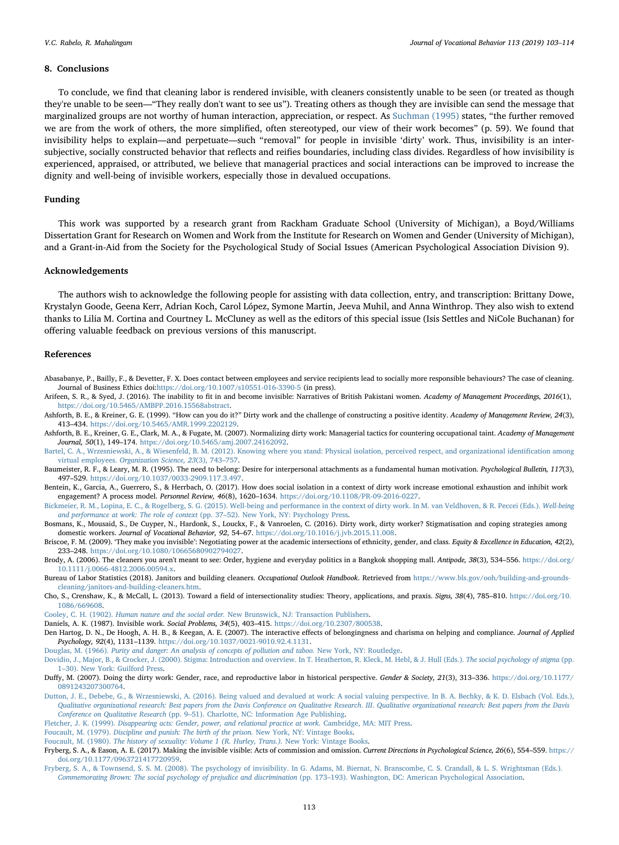# 8. Conclusions

To conclude, we find that cleaning labor is rendered invisible, with cleaners consistently unable to be seen (or treated as though they're unable to be seen—"They really don't want to see us"). Treating others as though they are invisible can send the message that marginalized groups are not worthy of human interaction, appreciation, or respect. As [Suchman \(1995\)](#page-11-41) states, "the further removed we are from the work of others, the more simplified, often stereotyped, our view of their work becomes" (p. 59). We found that invisibility helps to explain—and perpetuate—such "removal" for people in invisible 'dirty' work. Thus, invisibility is an intersubjective, socially constructed behavior that reflects and reifies boundaries, including class divides. Regardless of how invisibility is experienced, appraised, or attributed, we believe that managerial practices and social interactions can be improved to increase the dignity and well-being of invisible workers, especially those in devalued occupations.

#### Funding

This work was supported by a research grant from Rackham Graduate School (University of Michigan), a Boyd/Williams Dissertation Grant for Research on Women and Work from the Institute for Research on Women and Gender (University of Michigan), and a Grant-in-Aid from the Society for the Psychological Study of Social Issues (American Psychological Association Division 9).

# Acknowledgements

The authors wish to acknowledge the following people for assisting with data collection, entry, and transcription: Brittany Dowe, Krystalyn Goode, Geena Kerr, Adrian Koch, Carol López, Symone Martin, Jeeva Muhil, and Anna Winthrop. They also wish to extend thanks to Lilia M. Cortina and Courtney L. McCluney as well as the editors of this special issue (Isis Settles and NiCole Buchanan) for offering valuable feedback on previous versions of this manuscript.

#### References

- <span id="page-10-15"></span>Abasabanye, P., Bailly, F., & Devetter, F. X. Does contact between employees and service recipients lead to socially more responsible behaviours? The case of cleaning. Journal of Business Ethics doi:<https://doi.org/10.1007/s10551-016-3390-5> (in press).
- <span id="page-10-21"></span>Arifeen, S. R., & Syed, J. (2016). The inability to fit in and become invisible: Narratives of British Pakistani women. Academy of Management Proceedings, 2016(1), <https://doi.org/10.5465/AMBPP.2016.15568abstract>.
- <span id="page-10-8"></span>Ashforth, B. E., & Kreiner, G. E. (1999). "How can you do it?" Dirty work and the challenge of constructing a positive identity. Academy of Management Review, 24(3), 413–434. <https://doi.org/10.5465/AMR.1999.2202129>.
- <span id="page-10-13"></span>Ashforth, B. E., Kreiner, G. E., Clark, M. A., & Fugate, M. (2007). Normalizing dirty work: Managerial tactics for countering occupational taint. Academy of Management Journal, 50(1), 149–174. <https://doi.org/10.5465/amj.2007.24162092>.
- <span id="page-10-7"></span>[Bartel, C. A., Wrzesniewski, A., & Wiesenfeld, B. M. \(2012\). Knowing where you stand: Physical isolation, perceived respect, and organizational identi](http://refhub.elsevier.com/S0001-8791(18)30120-9/rf0020)fication among virtual employees. [Organization Science, 23](http://refhub.elsevier.com/S0001-8791(18)30120-9/rf0020)(3), 743–757.
- <span id="page-10-0"></span>Baumeister, R. F., & Leary, M. R. (1995). The need to belong: Desire for interpersonal attachments as a fundamental human motivation. Psychological Bulletin, 117(3), 497–529. [https://doi.org/10.1037/0033-2909.117.3.497.](https://doi.org/10.1037/0033-2909.117.3.497)
- <span id="page-10-6"></span>Bentein, K., Garcia, A., Guerrero, S., & Herrbach, O. (2017). How does social isolation in a context of dirty work increase emotional exhaustion and inhibit work engagement? A process model. Personnel Review, 46(8), 1620–1634. <https://doi.org/10.1108/PR-09-2016-0227>.
- <span id="page-10-10"></span>[Bickmeier, R. M., Lopina, E. C., & Rogelberg, S. G. \(2015\). Well-being and performance in the context of dirty work. In M. van Veldhoven, & R. Peccei \(Eds.\).](http://refhub.elsevier.com/S0001-8791(18)30120-9/rf0035) Well-being [and performance at work: The role of context](http://refhub.elsevier.com/S0001-8791(18)30120-9/rf0035) (pp. 37–52). New York, NY: Psychology Press.
- <span id="page-10-4"></span>Bosmans, K., Mousaid, S., De Cuyper, N., Hardonk, S., Louckx, F., & Vanroelen, C. (2016). Dirty work, dirty worker? Stigmatisation and coping strategies among domestic workers. Journal of Vocational Behavior, 92, 54–67. <https://doi.org/10.1016/j.jvb.2015.11.008>.
- <span id="page-10-22"></span>Briscoe, F. M. (2009). 'They make you invisible': Negotiating power at the academic intersections of ethnicity, gender, and class. Equity & Excellence in Education, 42(2), 233–248. <https://doi.org/10.1080/10665680902794027>.
- <span id="page-10-17"></span>Brody, A. (2006). The cleaners you aren't meant to see: Order, hygiene and everyday politics in a Bangkok shopping mall. Antipode, 38(3), 534–556. [https://doi.org/](https://doi.org/10.1111/j.0066-4812.2006.00594.x) [10.1111/j.0066-4812.2006.00594.x.](https://doi.org/10.1111/j.0066-4812.2006.00594.x)
- <span id="page-10-14"></span>Bureau of Labor Statistics (2018). Janitors and building cleaners. Occupational Outlook Handbook. Retrieved from [https://www.bls.gov/ooh/building-and-grounds](https://www.bls.gov/ooh/building-and-grounds-cleaning/janitors-and-building-cleaners.htm)[cleaning/janitors-and-building-cleaners.htm](https://www.bls.gov/ooh/building-and-grounds-cleaning/janitors-and-building-cleaners.htm).
- <span id="page-10-23"></span>Cho, S., Crenshaw, K., & McCall, L. (2013). Toward a field of intersectionality studies: Theory, applications, and praxis. Signs, 38(4), 785–810. [https://doi.org/10.](https://doi.org/10.1086/669608) [1086/669608.](https://doi.org/10.1086/669608)

<span id="page-10-12"></span>Cooley, C. H. (1902). Human nature and the social order. [New Brunswick, NJ: Transaction Publishers](http://refhub.elsevier.com/S0001-8791(18)30120-9/rf0065).

- <span id="page-10-5"></span>Daniels, A. K. (1987). Invisible work. Social Problems, 34(5), 403–415. [https://doi.org/10.2307/800538.](https://doi.org/10.2307/800538)
- <span id="page-10-11"></span>Den Hartog, D. N., De Hoogh, A. H. B., & Keegan, A. E. (2007). The interactive effects of belongingness and charisma on helping and compliance. Journal of Applied Psychology, 92(4), 1131–1139. <https://doi.org/10.1037/0021-9010.92.4.1131>.

<span id="page-10-9"></span>Douglas, M. (1966). [Purity and danger: An analysis of concepts of pollution and taboo.](http://refhub.elsevier.com/S0001-8791(18)30120-9/rf0080) New York, NY: Routledge.

- <span id="page-10-2"></span>[Dovidio, J., Major, B., & Crocker, J. \(2000\). Stigma: Introduction and overview. In T. Heatherton, R. Kleck, M. Hebl, & J. Hull \(Eds.\).](http://refhub.elsevier.com/S0001-8791(18)30120-9/rf0085) The social psychology of stigma (pp. 1–[30\). New York: Guilford Press](http://refhub.elsevier.com/S0001-8791(18)30120-9/rf0085).
- <span id="page-10-18"></span>Duffy, M. (2007). Doing the dirty work: Gender, race, and reproductive labor in historical perspective. Gender & Society, 21(3), 313–336. [https://doi.org/10.1177/](https://doi.org/10.1177/0891243207300764) [0891243207300764](https://doi.org/10.1177/0891243207300764).
- <span id="page-10-1"></span>[Dutton, J. E., Debebe, G., & Wrzesniewski, A. \(2016\). Being valued and devalued at work: A social valuing perspective. In B. A. Bechky, & K. D. Elsbach \(Vol. Eds.\),](http://refhub.elsevier.com/S0001-8791(18)30120-9/rf0095) [Qualitative organizational research: Best papers from the Davis Conference on Qualitative Research](http://refhub.elsevier.com/S0001-8791(18)30120-9/rf0095). III. Qualitative organizational research: Best papers from the Davis Conference on Qualitative Research (pp. 9–[51\). Charlotte, NC: Information Age Publishing](http://refhub.elsevier.com/S0001-8791(18)30120-9/rf0095).
- <span id="page-10-16"></span>Fletcher, J. K. (1999). [Disappearing acts: Gender, power, and relational practice at work.](http://refhub.elsevier.com/S0001-8791(18)30120-9/rf0100) Cambridge, MA: MIT Press.
- <span id="page-10-3"></span>Foucault, M. (1979). [Discipline and punish: The birth of the prison.](http://refhub.elsevier.com/S0001-8791(18)30120-9/rf0105) New York, NY: Vintage Books.
- Foucault, M. (1980). [The history of sexuality: Volume 1 \(R. Hurley, Trans.\).](http://refhub.elsevier.com/S0001-8791(18)30120-9/rf0110) New York: Vintage Books.
- <span id="page-10-19"></span>Fryberg, S. A., & Eason, A. E. (2017). Making the invisible visible: Acts of commission and omission. Current Directions in Psychological Science, 26(6), 554–559. [https://](https://doi.org/10.1177/0963721417720959) [doi.org/10.1177/0963721417720959](https://doi.org/10.1177/0963721417720959).
- <span id="page-10-20"></span>[Fryberg, S. A., & Townsend, S. S. M. \(2008\). The psychology of invisibility. In G. Adams, M. Biernat, N. Branscombe, C. S. Crandall, & L. S. Wrightsman \(Eds.\).](http://refhub.elsevier.com/S0001-8791(18)30120-9/rf0120) [Commemorating Brown: The social psychology of prejudice and discrimination](http://refhub.elsevier.com/S0001-8791(18)30120-9/rf0120) (pp. 173–193). Washington, DC: American Psychological Association.